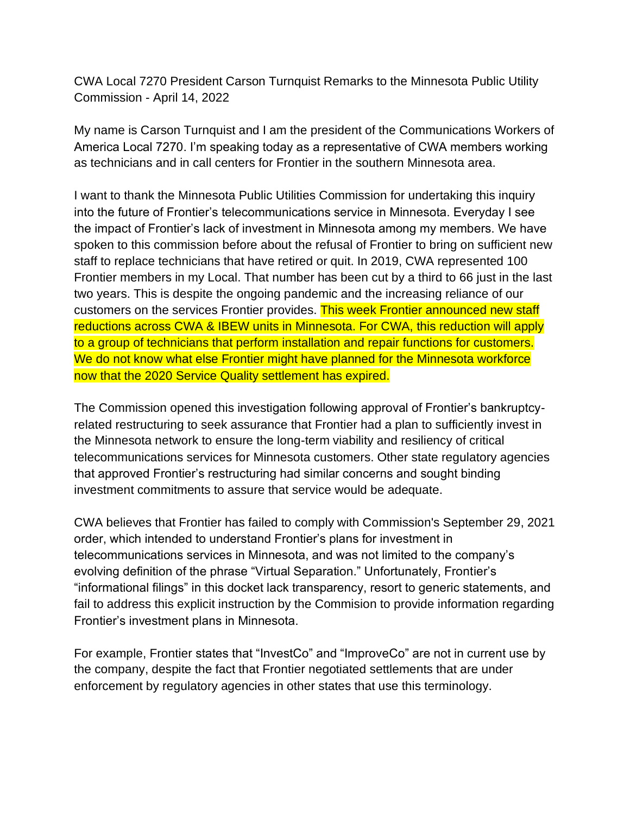CWA Local 7270 President Carson Turnquist Remarks to the Minnesota Public Utility Commission - April 14, 2022

My name is Carson Turnquist and I am the president of the Communications Workers of America Local 7270. I'm speaking today as a representative of CWA members working as technicians and in call centers for Frontier in the southern Minnesota area.

I want to thank the Minnesota Public Utilities Commission for undertaking this inquiry into the future of Frontier's telecommunications service in Minnesota. Everyday I see the impact of Frontier's lack of investment in Minnesota among my members. We have spoken to this commission before about the refusal of Frontier to bring on sufficient new staff to replace technicians that have retired or quit. In 2019, CWA represented 100 Frontier members in my Local. That number has been cut by a third to 66 just in the last two years. This is despite the ongoing pandemic and the increasing reliance of our customers on the services Frontier provides. This week Frontier announced new staff reductions across CWA & IBEW units in Minnesota. For CWA, this reduction will apply to a group of technicians that perform installation and repair functions for customers. We do not know what else Frontier might have planned for the Minnesota workforce now that the 2020 Service Quality settlement has expired.

The Commission opened this investigation following approval of Frontier's bankruptcyrelated restructuring to seek assurance that Frontier had a plan to sufficiently invest in the Minnesota network to ensure the long-term viability and resiliency of critical telecommunications services for Minnesota customers. Other state regulatory agencies that approved Frontier's restructuring had similar concerns and sought binding investment commitments to assure that service would be adequate.

CWA believes that Frontier has failed to comply with Commission's September 29, 2021 order, which intended to understand Frontier's plans for investment in telecommunications services in Minnesota, and was not limited to the company's evolving definition of the phrase "Virtual Separation." Unfortunately, Frontier's "informational filings" in this docket lack transparency, resort to generic statements, and fail to address this explicit instruction by the Commision to provide information regarding Frontier's investment plans in Minnesota.

For example, Frontier states that "InvestCo" and "ImproveCo" are not in current use by the company, despite the fact that Frontier negotiated settlements that are under enforcement by regulatory agencies in other states that use this terminology.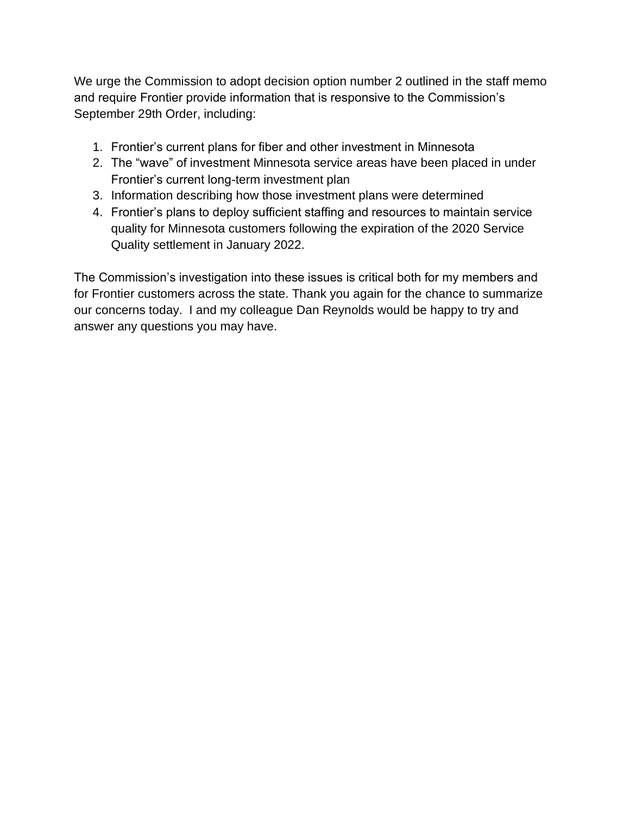We urge the Commission to adopt decision option number 2 outlined in the staff memo and require Frontier provide information that is responsive to the Commission's September 29th Order, including:

- 1. Frontier's current plans for fiber and other investment in Minnesota
- 2. The "wave" of investment Minnesota service areas have been placed in under Frontier's current long-term investment plan
- 3. Information describing how those investment plans were determined
- 4. Frontier's plans to deploy sufficient staffing and resources to maintain service quality for Minnesota customers following the expiration of the 2020 Service Quality settlement in January 2022.

The Commission's investigation into these issues is critical both for my members and for Frontier customers across the state. Thank you again for the chance to summarize our concerns today. I and my colleague Dan Reynolds would be happy to try and answer any questions you may have.